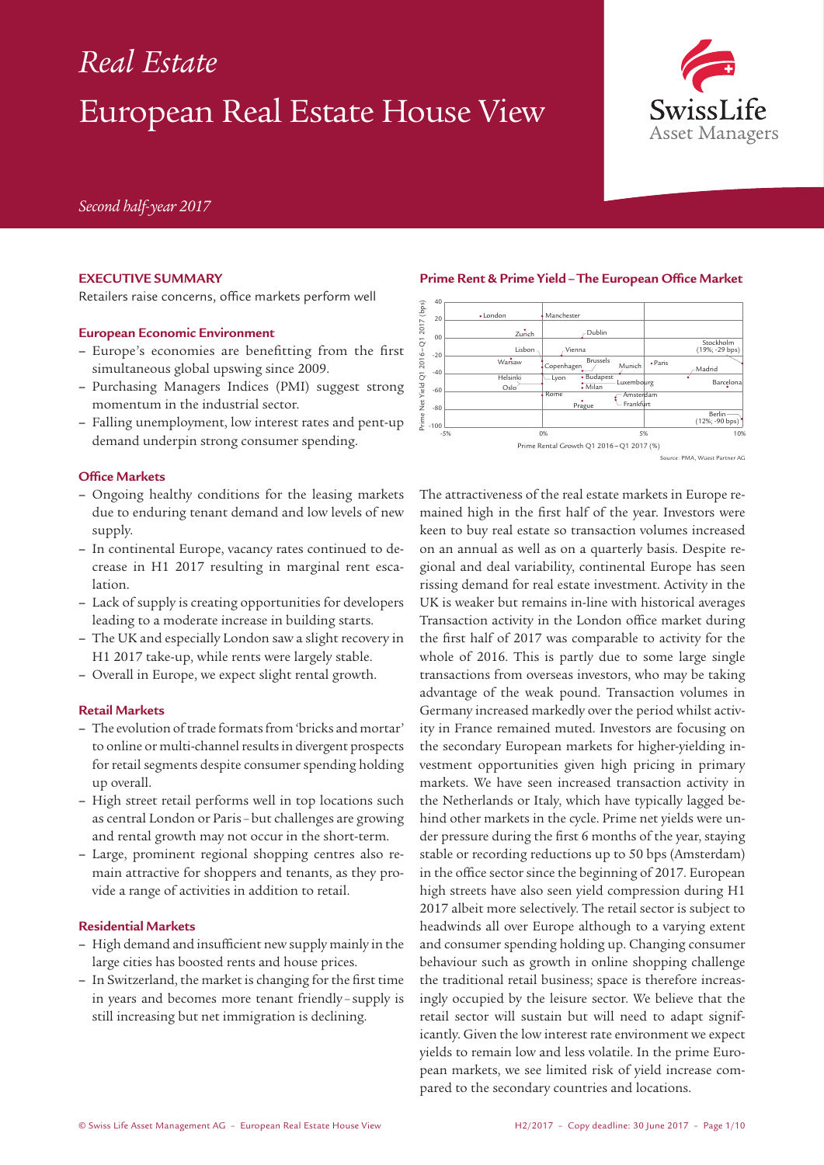# European Real Estate House View *Real Estate*



*Second half-year 2017*

# **EXECUTIVE SUMMARY**

Retailers raise concerns, office markets perform well

#### **European Economic Environment**

- **–** Europe's economies are benefitting from the first simultaneous global upswing since 2009.
- **–** Purchasing Managers Indices (PMI) suggest strong momentum in the industrial sector.
- **–** Falling unemployment, low interest rates and pent-up demand underpin strong consumer spending.

#### **Office Markets**

- **–** Ongoing healthy conditions for the leasing markets due to enduring tenant demand and low levels of new supply.
- **–** In continental Europe, vacancy rates continued to decrease in H1 2017 resulting in marginal rent escalation.
- **–** Lack of supply is creating opportunities for developers leading to a moderate increase in building starts.
- **–** The UK and especially London saw a slight recovery in H1 2017 take-up, while rents were largely stable.
- **–** Overall in Europe, we expect slight rental growth.

#### **Retail Markets**

- **–** The evolution of trade formats from 'bricks and mortar' to online or multi-channel results in divergent prospects for retail segments despite consumer spending holding up overall.
- **–** High street retail performs well in top locations such as central London or Paris –but challenges are growing and rental growth may not occur in the short-term.
- **–** Large, prominent regional shopping centres also remain attractive for shoppers and tenants, as they provide a range of activities in addition to retail.

#### **Residential Markets**

- **–** High demand and insufficient new supply mainly in the large cities has boosted rents and house prices.
- **–** In Switzerland, the market is changing for the first time in years and becomes more tenant friendly – supply is still increasing but net immigration is declining.

#### **Prime Rent & Prime Yield–The European Office Market**



ce: PMA, Wüest Partner AG

The attractiveness of the real estate markets in Europe remained high in the first half of the year. Investors were keen to buy real estate so transaction volumes increased on an annual as well as on a quarterly basis. Despite regional and deal variability, continental Europe has seen rissing demand for real estate investment. Activity in the UK is weaker but remains in-line with historical averages Transaction activity in the London office market during the first half of 2017 was comparable to activity for the whole of 2016. This is partly due to some large single transactions from overseas investors, who may be taking advantage of the weak pound. Transaction volumes in Germany increased markedly over the period whilst activity in France remained muted. Investors are focusing on the secondary European markets for higher-yielding investment opportunities given high pricing in primary markets. We have seen increased transaction activity in the Netherlands or Italy, which have typically lagged behind other markets in the cycle. Prime net yields were under pressure during the first 6 months of the year, staying stable or recording reductions up to 50 bps (Amsterdam) in the office sector since the beginning of 2017. European high streets have also seen yield compression during H1 2017 albeit more selectively. The retail sector is subject to headwinds all over Europe although to a varying extent and consumer spending holding up. Changing consumer behaviour such as growth in online shopping challenge the traditional retail business; space is therefore increasingly occupied by the leisure sector. We believe that the retail sector will sustain but will need to adapt significantly. Given the low interest rate environment we expect yields to remain low and less volatile. In the prime European markets, we see limited risk of yield increase compared to the secondary countries and locations.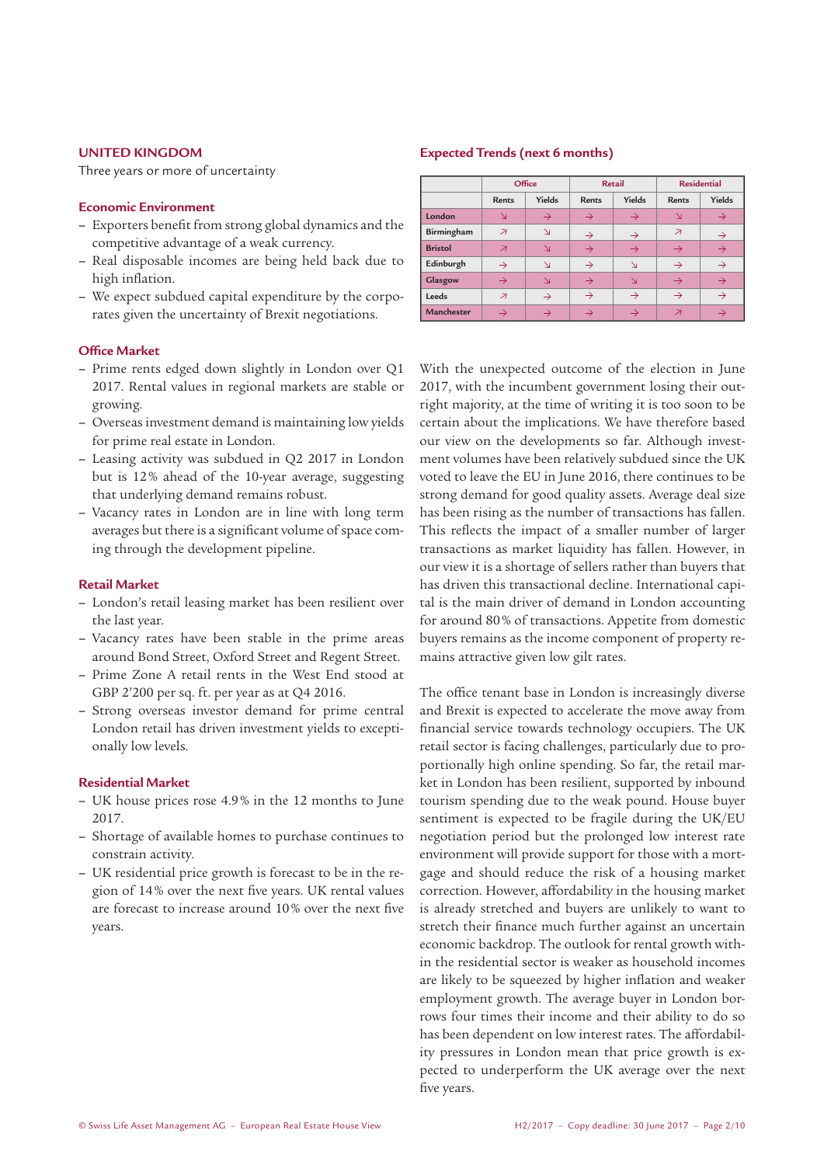# **UNITED KINGDOM**

Three years or more of uncertainty

# **Economic Environment**

- **–** Exporters benefit from strong global dynamics and the competitive advantage of a weak currency.
- **–** Real disposable incomes are being held back due to high inflation.
- **–** We expect subdued capital expenditure by the corporates given the uncertainty of Brexit negotiations.

#### **Office Market**

- **–** Prime rents edged down slightly in London over Q1 2017. Rental values in regional markets are stable or growing.
- **–** Overseas investment demand is maintaining low yields for prime real estate in London.
- **–** Leasing activity was subdued in Q2 2017 in London but is 12% ahead of the 10-year average, suggesting that underlying demand remains robust.
- **–** Vacancy rates in London are in line with long term averages but there is a significant volume of space coming through the development pipeline.

#### **Retail Market**

- **–** London's retail leasing market has been resilient over the last year.
- **–** Vacancy rates have been stable in the prime areas around Bond Street, Oxford Street and Regent Street.
- **–** Prime Zone A retail rents in the West End stood at GBP 2'200 per sq. ft. per year as at Q4 2016.
- **–** Strong overseas investor demand for prime central London retail has driven investment yields to exceptionally low levels.

#### **Residential Market**

- **–** UK house prices rose 4.9% in the 12 months to June 2017.
- **–** Shortage of available homes to purchase continues to constrain activity.
- **–** UK residential price growth is forecast to be in the region of 14% over the next five years. UK rental values are forecast to increase around 10% over the next five years.

#### **Expected Trends (next 6 months)**

|                |                          | Office        |               | <b>Retail</b> |                          | <b>Residential</b> |
|----------------|--------------------------|---------------|---------------|---------------|--------------------------|--------------------|
|                | <b>Rents</b>             | Yields        | <b>Rents</b>  | Yields        | <b>Rents</b>             | Yields             |
| London         | $\mathbf{\Sigma}$        | $\rightarrow$ | $\rightarrow$ | $\rightarrow$ | N                        | $\rightarrow$      |
| Birmingham     | ↗                        | N             | $\rightarrow$ | $\rightarrow$ | $\overline{\mathcal{A}}$ | $\rightarrow$      |
| <b>Bristol</b> | $\overline{\mathcal{A}}$ | $\Delta$      | $\rightarrow$ | $\rightarrow$ | $\rightarrow$            | $\rightarrow$      |
| Edinburgh      | $\rightarrow$            | N             | $\rightarrow$ | $\Delta$      | $\rightarrow$            | $\rightarrow$      |
| Glasgow        | $\rightarrow$            | N             | $\rightarrow$ | N             | $\rightarrow$            | $\rightarrow$      |
| Leeds          | $\overline{\mathcal{A}}$ | $\rightarrow$ | $\rightarrow$ | $\rightarrow$ | $\rightarrow$            | $\rightarrow$      |
| Manchester     | $\rightarrow$            | $\rightarrow$ | $\rightarrow$ | $\rightarrow$ | $\overline{\mathcal{A}}$ | $\rightarrow$      |

With the unexpected outcome of the election in June 2017, with the incumbent government losing their outright majority, at the time of writing it is too soon to be certain about the implications. We have therefore based our view on the developments so far. Although investment volumes have been relatively subdued since the UK voted to leave the EU in June 2016, there continues to be strong demand for good quality assets. Average deal size has been rising as the number of transactions has fallen. This reflects the impact of a smaller number of larger transactions as market liquidity has fallen. However, in our view it is a shortage of sellers rather than buyers that has driven this transactional decline. International capital is the main driver of demand in London accounting for around 80% of transactions. Appetite from domestic buyers remains as the income component of property remains attractive given low gilt rates.

The office tenant base in London is increasingly diverse and Brexit is expected to accelerate the move away from financial service towards technology occupiers. The UK retail sector is facing challenges, particularly due to proportionally high online spending. So far, the retail market in London has been resilient, supported by inbound tourism spending due to the weak pound. House buyer sentiment is expected to be fragile during the UK/EU negotiation period but the prolonged low interest rate environment will provide support for those with a mortgage and should reduce the risk of a housing market correction. However, affordability in the housing market is already stretched and buyers are unlikely to want to stretch their finance much further against an uncertain economic backdrop. The outlook for rental growth within the residential sector is weaker as household incomes are likely to be squeezed by higher inflation and weaker employment growth. The average buyer in London borrows four times their income and their ability to do so has been dependent on low interest rates. The affordability pressures in London mean that price growth is expected to underperform the UK average over the next five years.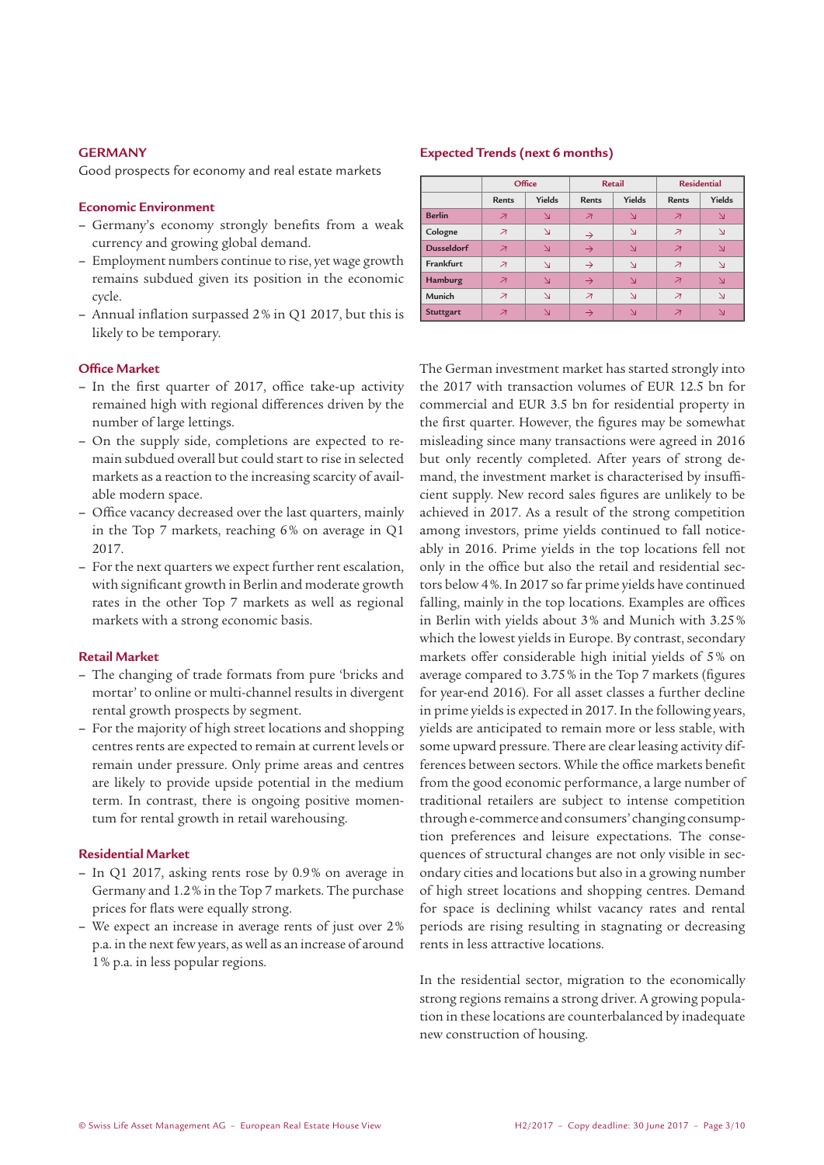# **GERMANY**

Good prospects for economy and real estate markets

# **Economic Environment**

- **–** Germany's economy strongly benefits from a weak currency and growing global demand.
- **–** Employment numbers continue to rise, yet wage growth remains subdued given its position in the economic cycle.
- **–** Annual inflation surpassed 2% in Q1 2017, but this is likely to be temporary.

#### **Office Market**

- **–** In the first quarter of 2017, office take-up activity remained high with regional differences driven by the number of large lettings.
- **–** On the supply side, completions are expected to remain subdued overall but could start to rise in selected markets as a reaction to the increasing scarcity of available modern space.
- **–** Office vacancy decreased over the last quarters, mainly in the Top 7 markets, reaching 6% on average in Q1 2017.
- **–** For the next quarters we expect further rent escalation, with significant growth in Berlin and moderate growth rates in the other Top 7 markets as well as regional markets with a strong economic basis.

#### **Retail Market**

- **–** The changing of trade formats from pure 'bricks and mortar' to online or multi-channel results in divergent rental growth prospects by segment.
- **–** For the majority of high street locations and shopping centres rents are expected to remain at current levels or remain under pressure. Only prime areas and centres are likely to provide upside potential in the medium term. In contrast, there is ongoing positive momentum for rental growth in retail warehousing.

# **Residential Market**

- **–** In Q1 2017, asking rents rose by 0.9% on average in Germany and 1.2% in the Top 7 markets. The purchase prices for flats were equally strong.
- **–** We expect an increase in average rents of just over 2% p.a. in the next few years, as well as an increase of around 1% p.a. in less popular regions.

#### **Expected Trends (next 6 months)**

|                   | Office                   |                                         |                          | <b>Retail</b>           |                          | <b>Residential</b> |  |
|-------------------|--------------------------|-----------------------------------------|--------------------------|-------------------------|--------------------------|--------------------|--|
|                   | <b>Rents</b>             | Yields                                  | <b>Rents</b>             | Yields                  | <b>Rents</b>             | Yields             |  |
| <b>Berlin</b>     | $\overline{\mathcal{A}}$ | $\overline{\Delta}$                     | $\overline{\mathcal{A}}$ | $\Delta$                | $\overline{\mathcal{A}}$ | $\Delta$           |  |
| Cologne           | $\overline{\mathcal{A}}$ | $\Delta$                                | $\rightarrow$            | $\Delta$                | $\overline{\mathcal{A}}$ | N                  |  |
| <b>Dusseldorf</b> | $\overline{\mathcal{A}}$ | $\overline{\mathsf{N}}$                 | $\rightarrow$            | $\overline{\mathsf{N}}$ | $\overline{\mathcal{A}}$ | N                  |  |
| Frankfurt         | ↗                        | $\mathbf{\mathop{\mathsf{N}}\nolimits}$ | $\rightarrow$            | $\Delta$                | $\overline{\mathcal{A}}$ | N                  |  |
| Hamburg           | $\overline{\mathcal{A}}$ | N                                       | $\rightarrow$            | $\Delta$                | $\overline{\mathcal{A}}$ | N                  |  |
| Munich            | ↗                        | $\Delta$                                | $\overline{\mathcal{A}}$ | $\Delta$                | $\overline{\mathcal{A}}$ | N                  |  |
| Stuttgart         | ↗                        | $\mathbf{\Sigma}$                       |                          | N                       | ↗                        |                    |  |

The German investment market has started strongly into the 2017 with transaction volumes of EUR 12.5 bn for commercial and EUR 3.5 bn for residential property in the first quarter. However, the figures may be somewhat misleading since many transactions were agreed in 2016 but only recently completed. After years of strong demand, the investment market is characterised by insufficient supply. New record sales figures are unlikely to be achieved in 2017. As a result of the strong competition among investors, prime yields continued to fall noticeably in 2016. Prime yields in the top locations fell not only in the office but also the retail and residential sectors below 4%. In 2017 so far prime yields have continued falling, mainly in the top locations. Examples are offices in Berlin with yields about 3% and Munich with 3.25% which the lowest yields in Europe. By contrast, secondary markets offer considerable high initial yields of 5% on average compared to 3.75% in the Top 7 markets (figures for year-end 2016). For all asset classes a further decline in prime yields is expected in 2017. In the following years, yields are anticipated to remain more or less stable, with some upward pressure. There are clear leasing activity differences between sectors. While the office markets benefit from the good economic performance, a large number of traditional retailers are subject to intense competition through e-commerce and consumers' changing consumption preferences and leisure expectations. The consequences of structural changes are not only visible in secondary cities and locations but also in a growing number of high street locations and shopping centres. Demand for space is declining whilst vacancy rates and rental periods are rising resulting in stagnating or decreasing rents in less attractive locations.

In the residential sector, migration to the economically strong regions remains a strong driver. A growing population in these locations are counterbalanced by inadequate new construction of housing.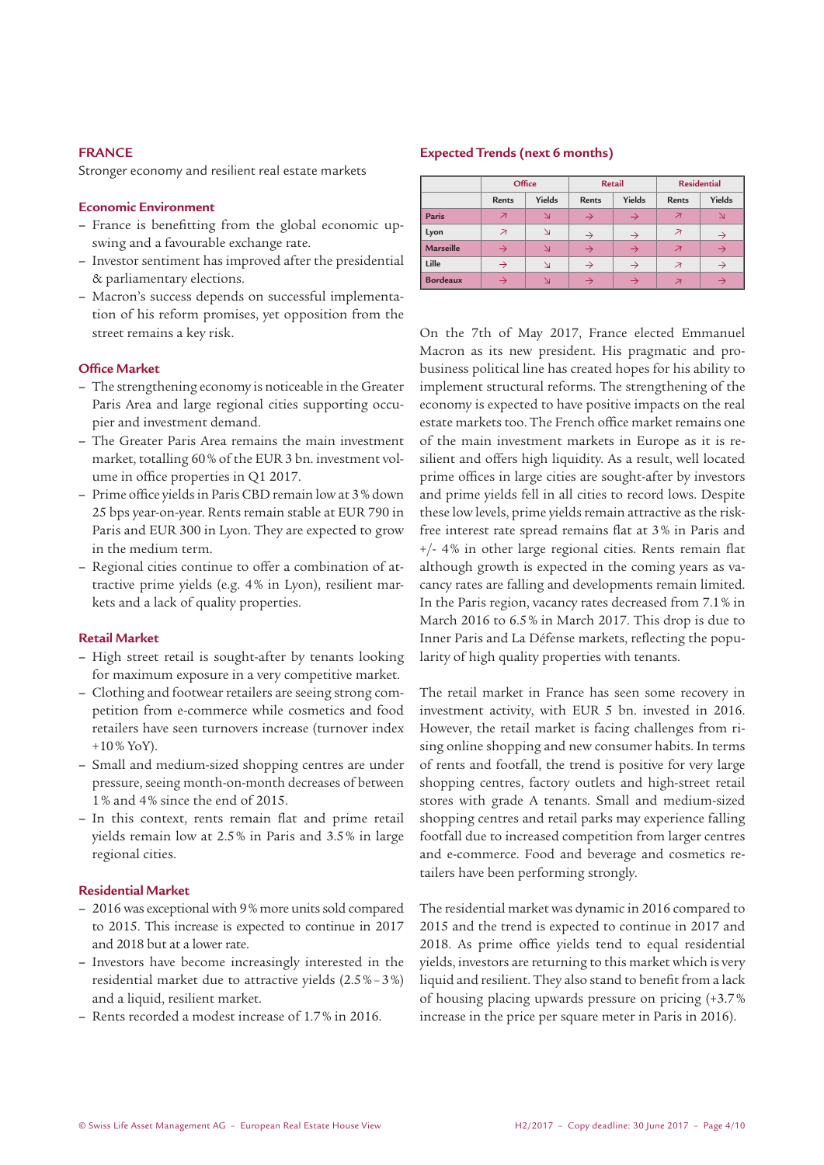# **FRANCE**

Stronger economy and resilient real estate markets

# **Economic Environment**

- **–** France is benefitting from the global economic upswing and a favourable exchange rate.
- **–** Investor sentiment has improved after the presidential & parliamentary elections.
- **–** Macron's success depends on successful implementation of his reform promises, yet opposition from the street remains a key risk.

#### **Office Market**

- **–** The strengthening economy is noticeable in the Greater Paris Area and large regional cities supporting occupier and investment demand.
- **–** The Greater Paris Area remains the main investment market, totalling 60% of the EUR 3 bn. investment volume in office properties in Q1 2017.
- **–** Prime office yields in Paris CBD remain low at 3% down 25 bps year-on-year. Rents remain stable at EUR 790 in Paris and EUR 300 in Lyon. They are expected to grow in the medium term.
- **–** Regional cities continue to offer a combination of attractive prime yields (e.g. 4% in Lyon), resilient markets and a lack of quality properties.

# **Retail Market**

- **–** High street retail is sought-after by tenants looking for maximum exposure in a very competitive market.
- **–** Clothing and footwear retailers are seeing strong competition from e-commerce while cosmetics and food retailers have seen turnovers increase (turnover index  $+10\%$  YoY).
- **–** Small and medium-sized shopping centres are under pressure, seeing month-on-month decreases of between 1% and 4% since the end of 2015.
- **–** In this context, rents remain flat and prime retail yields remain low at 2.5% in Paris and 3.5% in large regional cities.

#### **Residential Market**

- **–** 2016 was exceptional with 9% more units sold compared to 2015. This increase is expected to continue in 2017 and 2018 but at a lower rate.
- **–** Investors have become increasingly interested in the residential market due to attractive yields (2.5%–3%) and a liquid, resilient market.
- **–** Rents recorded a modest increase of 1.7% in 2016.

#### **Expected Trends (next 6 months)**

|                  |                          | Office |               | <b>Retail</b> |                          | <b>Residential</b> |  |
|------------------|--------------------------|--------|---------------|---------------|--------------------------|--------------------|--|
|                  | <b>Rents</b>             | Yields | <b>Rents</b>  | Yields        | <b>Rents</b>             | Yields             |  |
| Paris            | $\overline{\mathcal{A}}$ | N      | $\rightarrow$ | $\rightarrow$ | $\overline{\mathcal{A}}$ | N                  |  |
| Lyon             | $\overline{\mathcal{A}}$ | N      | $\rightarrow$ | $\rightarrow$ | $\overline{\mathcal{A}}$ | $\rightarrow$      |  |
| <b>Marseille</b> | $\rightarrow$            |        | $\rightarrow$ | $\rightarrow$ | $\overline{\mathcal{A}}$ | $\rightarrow$      |  |
| Lille            | $\rightarrow$            | N      | $\rightarrow$ | $\rightarrow$ | $\overline{\mathcal{A}}$ | $\rightarrow$      |  |
| <b>Bordeaux</b>  |                          |        |               | $\rightarrow$ | $\overline{\mathcal{A}}$ |                    |  |

On the 7th of May 2017, France elected Emmanuel Macron as its new president. His pragmatic and probusiness political line has created hopes for his ability to implement structural reforms. The strengthening of the economy is expected to have positive impacts on the real estate markets too. The French office market remains one of the main investment markets in Europe as it is resilient and offers high liquidity. As a result, well located prime offices in large cities are sought-after by investors and prime yields fell in all cities to record lows. Despite these low levels, prime yields remain attractive as the riskfree interest rate spread remains flat at 3% in Paris and +/- 4% in other large regional cities. Rents remain flat although growth is expected in the coming years as vacancy rates are falling and developments remain limited. In the Paris region, vacancy rates decreased from 7.1% in March 2016 to 6.5% in March 2017. This drop is due to Inner Paris and La Défense markets, reflecting the popularity of high quality properties with tenants.

The retail market in France has seen some recovery in investment activity, with EUR 5 bn. invested in 2016. However, the retail market is facing challenges from rising online shopping and new consumer habits. In terms of rents and footfall, the trend is positive for very large shopping centres, factory outlets and high-street retail stores with grade A tenants. Small and medium-sized shopping centres and retail parks may experience falling footfall due to increased competition from larger centres and e-commerce. Food and beverage and cosmetics retailers have been performing strongly.

The residential market was dynamic in 2016 compared to 2015 and the trend is expected to continue in 2017 and 2018. As prime office yields tend to equal residential yields, investors are returning to this market which is very liquid and resilient. They also stand to benefit from a lack of housing placing upwards pressure on pricing (+3.7% increase in the price per square meter in Paris in 2016).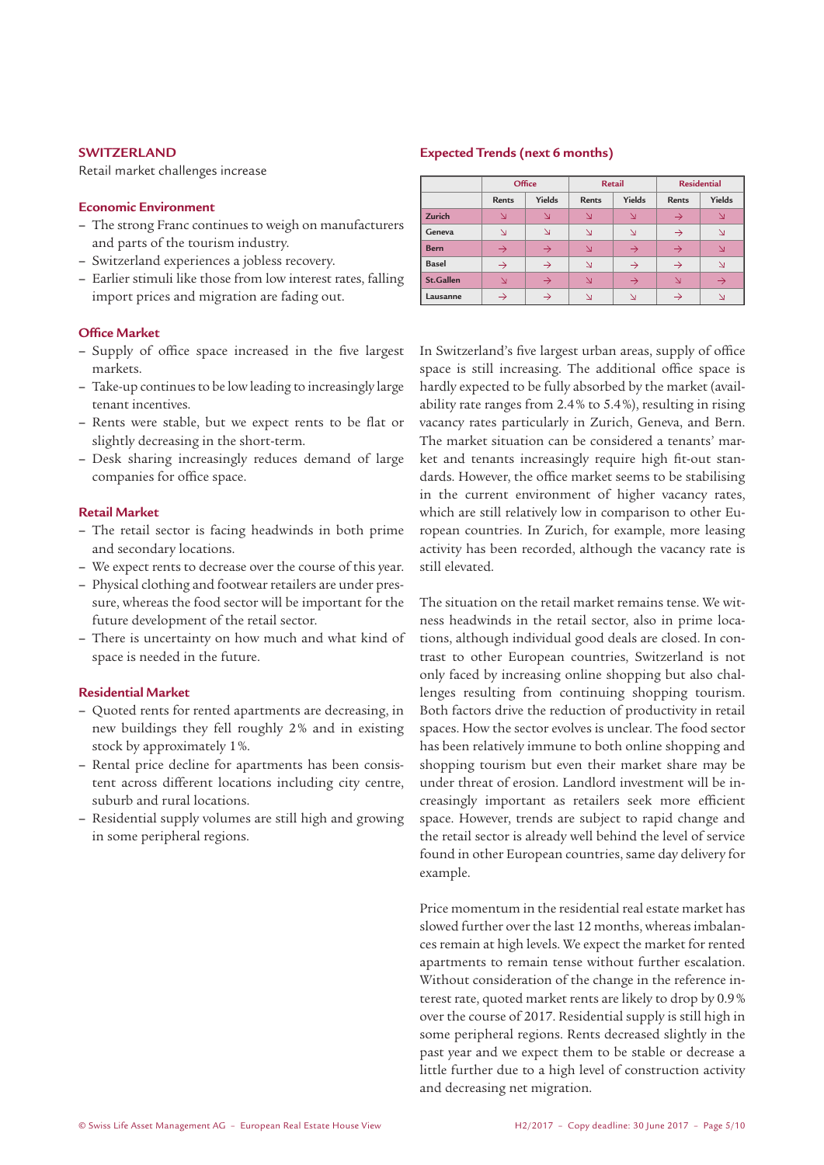# **SWITZERLAND**

Retail market challenges increase

# **Economic Environment**

- **–** The strong Franc continues to weigh on manufacturers and parts of the tourism industry.
- **–** Switzerland experiences a jobless recovery.
- **–** Earlier stimuli like those from low interest rates, falling import prices and migration are fading out.

#### **Office Market**

- **–** Supply of office space increased in the five largest markets.
- **–** Take-up continues to be low leading to increasingly large tenant incentives.
- **–** Rents were stable, but we expect rents to be flat or slightly decreasing in the short-term.
- **–** Desk sharing increasingly reduces demand of large companies for office space.

#### **Retail Market**

- **–** The retail sector is facing headwinds in both prime and secondary locations.
- **–** We expect rents to decrease over the course of this year.
- **–** Physical clothing and footwear retailers are under pressure, whereas the food sector will be important for the future development of the retail sector.
- **–** There is uncertainty on how much and what kind of space is needed in the future.

# **Residential Market**

- **–** Quoted rents for rented apartments are decreasing, in new buildings they fell roughly 2% and in existing stock by approximately 1%.
- **–** Rental price decline for apartments has been consistent across different locations including city centre, suburb and rural locations.
- **–** Residential supply volumes are still high and growing in some peripheral regions.

#### **Expected Trends (next 6 months)**

|              | Office        |               | <b>Retail</b> |               | <b>Residential</b> |               |
|--------------|---------------|---------------|---------------|---------------|--------------------|---------------|
|              | <b>Rents</b>  | Yields        | <b>Rents</b>  | Yields        | <b>Rents</b>       | Yields        |
| Zurich       | N             | ↘             | N             | N             | $\rightarrow$      |               |
| Geneva       | N             | N             | N             | N             | $\rightarrow$      | N             |
| <b>Bern</b>  | $\rightarrow$ | $\rightarrow$ | N             | $\rightarrow$ | $\rightarrow$      | ╲             |
| <b>Basel</b> | $\rightarrow$ | $\rightarrow$ | N             | $\rightarrow$ | $\rightarrow$      | N             |
| St.Gallen    | N             | $\rightarrow$ | N             | $\rightarrow$ | N                  | $\rightarrow$ |
| Lausanne     |               |               |               |               |                    |               |

In Switzerland's five largest urban areas, supply of office space is still increasing. The additional office space is hardly expected to be fully absorbed by the market (availability rate ranges from 2.4% to 5.4%), resulting in rising vacancy rates particularly in Zurich, Geneva, and Bern. The market situation can be considered a tenants' market and tenants increasingly require high fit-out standards. However, the office market seems to be stabilising in the current environment of higher vacancy rates, which are still relatively low in comparison to other European countries. In Zurich, for example, more leasing activity has been recorded, although the vacancy rate is still elevated.

The situation on the retail market remains tense. We witness headwinds in the retail sector, also in prime locations, although individual good deals are closed. In contrast to other European countries, Switzerland is not only faced by increasing online shopping but also challenges resulting from continuing shopping tourism. Both factors drive the reduction of productivity in retail spaces. How the sector evolves is unclear. The food sector has been relatively immune to both online shopping and shopping tourism but even their market share may be under threat of erosion. Landlord investment will be increasingly important as retailers seek more efficient space. However, trends are subject to rapid change and the retail sector is already well behind the level of service found in other European countries, same day delivery for example.

Price momentum in the residential real estate market has slowed further over the last 12 months, whereas imbalances remain at high levels. We expect the market for rented apartments to remain tense without further escalation. Without consideration of the change in the reference interest rate, quoted market rents are likely to drop by 0.9% over the course of 2017. Residential supply is still high in some peripheral regions. Rents decreased slightly in the past year and we expect them to be stable or decrease a little further due to a high level of construction activity and decreasing net migration.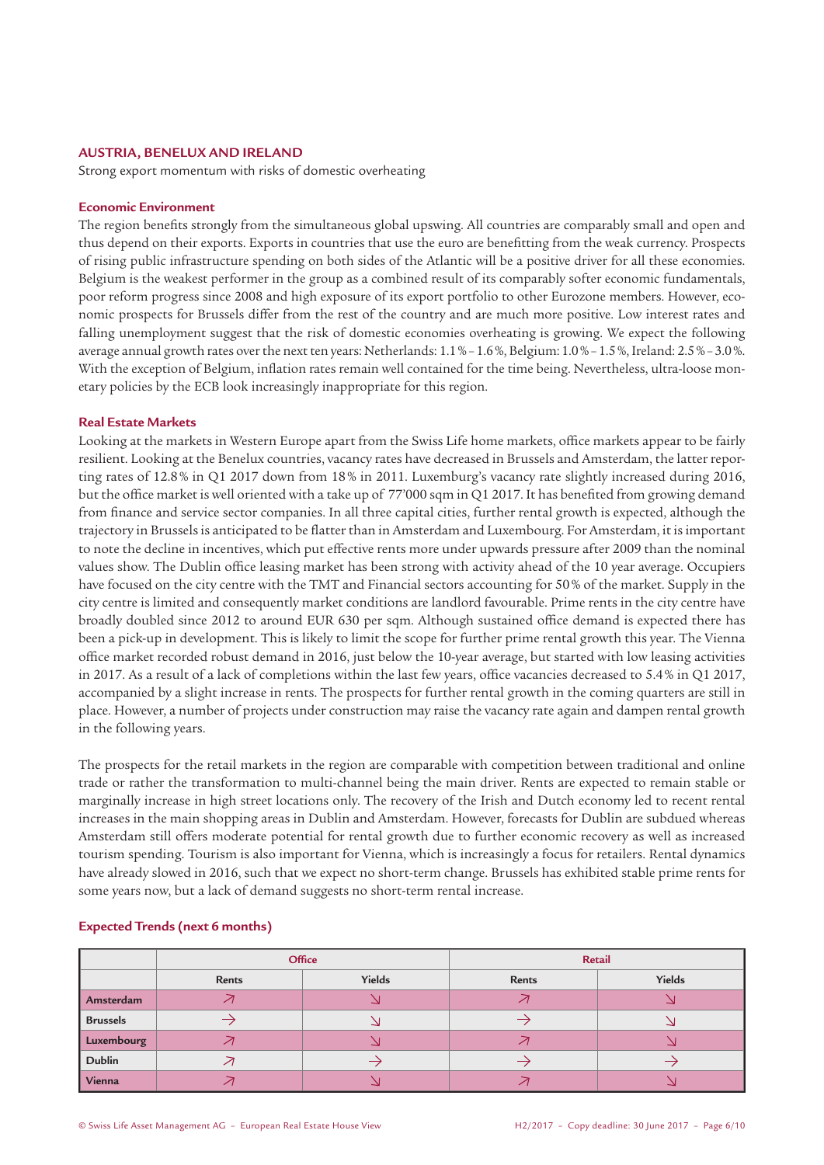#### **AUSTRIA, BENELUX AND IRELAND**

Strong export momentum with risks of domestic overheating

#### **Economic Environment**

The region benefits strongly from the simultaneous global upswing. All countries are comparably small and open and thus depend on their exports. Exports in countries that use the euro are benefitting from the weak currency. Prospects of rising public infrastructure spending on both sides of the Atlantic will be a positive driver for all these economies. Belgium is the weakest performer in the group as a combined result of its comparably softer economic fundamentals, poor reform progress since 2008 and high exposure of its export portfolio to other Eurozone members. However, economic prospects for Brussels differ from the rest of the country and are much more positive. Low interest rates and falling unemployment suggest that the risk of domestic economies overheating is growing. We expect the following average annual growth rates over the next ten years: Netherlands: 1.1%–1.6%, Belgium:1.0%–1.5%, Ireland: 2.5%–3.0%. With the exception of Belgium, inflation rates remain well contained for the time being. Nevertheless, ultra-loose monetary policies by the ECB look increasingly inappropriate for this region.

#### **Real Estate Markets**

Looking at the markets in Western Europe apart from the Swiss Life home markets, office markets appear to be fairly resilient. Looking at the Benelux countries, vacancy rates have decreased in Brussels and Amsterdam, the latter reporting rates of 12.8% in Q1 2017 down from 18% in 2011. Luxemburg's vacancy rate slightly increased during 2016, but the office market is well oriented with a take up of 77'000 sqm in Q1 2017. It has benefited from growing demand from finance and service sector companies. In all three capital cities, further rental growth is expected, although the trajectory in Brussels is anticipated to be flatter than in Amsterdam and Luxembourg. For Amsterdam, it is important to note the decline in incentives, which put effective rents more under upwards pressure after 2009 than the nominal values show. The Dublin office leasing market has been strong with activity ahead of the 10 year average. Occupiers have focused on the city centre with the TMT and Financial sectors accounting for 50% of the market. Supply in the city centre is limited and consequently market conditions are landlord favourable. Prime rents in the city centre have broadly doubled since 2012 to around EUR 630 per sqm. Although sustained office demand is expected there has been a pick-up in development. This is likely to limit the scope for further prime rental growth this year. The Vienna office market recorded robust demand in 2016, just below the 10-year average, but started with low leasing activities in 2017. As a result of a lack of completions within the last few years, office vacancies decreased to 5.4% in Q1 2017, accompanied by a slight increase in rents. The prospects for further rental growth in the coming quarters are still in place. However, a number of projects under construction may raise the vacancy rate again and dampen rental growth in the following years.

The prospects for the retail markets in the region are comparable with competition between traditional and online trade or rather the transformation to multi-channel being the main driver. Rents are expected to remain stable or marginally increase in high street locations only. The recovery of the Irish and Dutch economy led to recent rental increases in the main shopping areas in Dublin and Amsterdam. However, forecasts for Dublin are subdued whereas Amsterdam still offers moderate potential for rental growth due to further economic recovery as well as increased tourism spending. Tourism is also important for Vienna, which is increasingly a focus for retailers. Rental dynamics have already slowed in 2016, such that we expect no short-term change. Brussels has exhibited stable prime rents for some years now, but a lack of demand suggests no short-term rental increase.

|                 | Office |        | Retail |        |
|-----------------|--------|--------|--------|--------|
|                 | Rents  | Yields | Rents  | Yields |
| Amsterdam       |        |        |        |        |
| <b>Brussels</b> |        |        |        |        |
| Luxembourg      |        |        |        |        |
| <b>Dublin</b>   |        |        |        |        |
| Vienna          |        |        |        |        |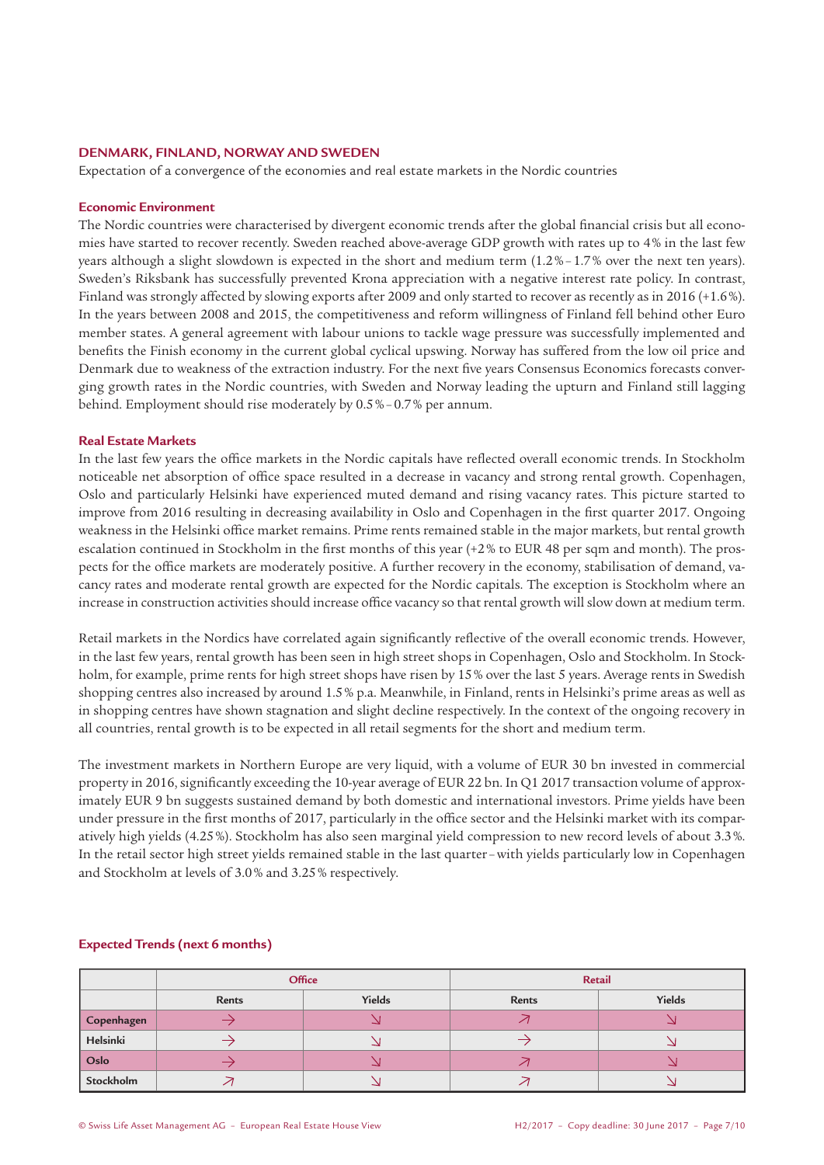# **DENMARK, FINLAND, NORWAY AND SWEDEN**

Expectation of a convergence of the economies and real estate markets in the Nordic countries

# **Economic Environment**

The Nordic countries were characterised by divergent economic trends after the global financial crisis but all economies have started to recover recently. Sweden reached above-average GDP growth with rates up to 4% in the last few years although a slight slowdown is expected in the short and medium term (1.2%–1.7% over the next ten years). Sweden's Riksbank has successfully prevented Krona appreciation with a negative interest rate policy. In contrast, Finland was strongly affected by slowing exports after 2009 and only started to recover as recently as in 2016 (+1.6%). In the years between 2008 and 2015, the competitiveness and reform willingness of Finland fell behind other Euro member states. A general agreement with labour unions to tackle wage pressure was successfully implemented and benefits the Finish economy in the current global cyclical upswing. Norway has suffered from the low oil price and Denmark due to weakness of the extraction industry. For the next five years Consensus Economics forecasts converging growth rates in the Nordic countries, with Sweden and Norway leading the upturn and Finland still lagging behind. Employment should rise moderately by 0.5%–0.7% per annum.

#### **Real Estate Markets**

In the last few years the office markets in the Nordic capitals have reflected overall economic trends. In Stockholm noticeable net absorption of office space resulted in a decrease in vacancy and strong rental growth. Copenhagen, Oslo and particularly Helsinki have experienced muted demand and rising vacancy rates. This picture started to improve from 2016 resulting in decreasing availability in Oslo and Copenhagen in the first quarter 2017. Ongoing weakness in the Helsinki office market remains. Prime rents remained stable in the major markets, but rental growth escalation continued in Stockholm in the first months of this year (+2% to EUR 48 per sqm and month). The prospects for the office markets are moderately positive. A further recovery in the economy, stabilisation of demand, vacancy rates and moderate rental growth are expected for the Nordic capitals. The exception is Stockholm where an increase in construction activities should increase office vacancy so that rental growth will slow down at medium term.

Retail markets in the Nordics have correlated again significantly reflective of the overall economic trends. However, in the last few years, rental growth has been seen in high street shops in Copenhagen, Oslo and Stockholm. In Stockholm, for example, prime rents for high street shops have risen by 15% over the last 5 years. Average rents in Swedish shopping centres also increased by around 1.5% p.a. Meanwhile, in Finland, rents in Helsinki's prime areas as well as in shopping centres have shown stagnation and slight decline respectively. In the context of the ongoing recovery in all countries, rental growth is to be expected in all retail segments for the short and medium term.

The investment markets in Northern Europe are very liquid, with a volume of EUR 30 bn invested in commercial property in 2016, significantly exceeding the 10-year average of EUR 22 bn. In Q1 2017 transaction volume of approximately EUR 9 bn suggests sustained demand by both domestic and international investors. Prime yields have been under pressure in the first months of 2017, particularly in the office sector and the Helsinki market with its comparatively high yields (4.25%). Stockholm has also seen marginal yield compression to new record levels of about 3.3%. In the retail sector high street yields remained stable in the last quarter –with yields particularly low in Copenhagen and Stockholm at levels of 3.0% and 3.25% respectively.

|            | Office       |        | Retail |        |
|------------|--------------|--------|--------|--------|
|            | <b>Rents</b> | Yields | Rents  | Yields |
| Copenhagen |              |        |        |        |
| Helsinki   |              |        |        |        |
| Oslo       |              |        |        |        |
| Stockholm  |              |        |        |        |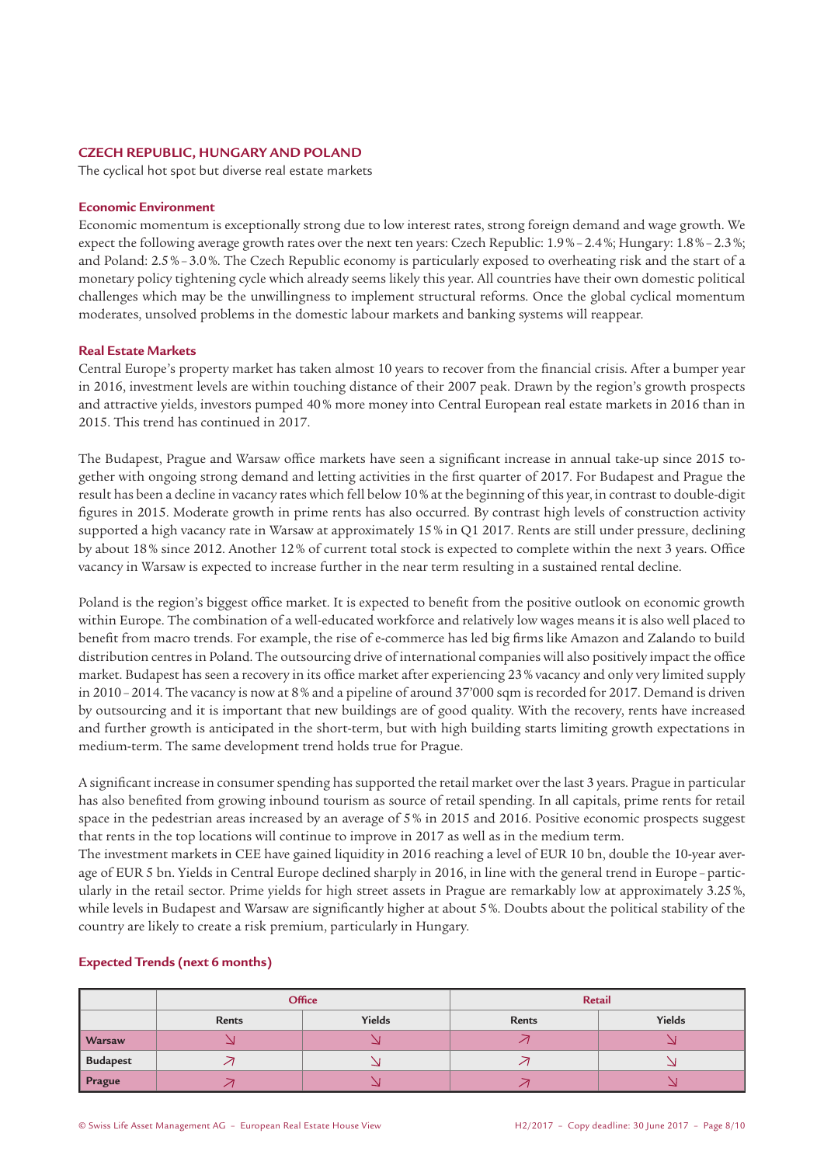# **CZECH REPUBLIC, HUNGARY AND POLAND**

The cyclical hot spot but diverse real estate markets

#### **Economic Environment**

Economic momentum is exceptionally strong due to low interest rates, strong foreign demand and wage growth. We expect the following average growth rates over the next ten years: Czech Republic: 1.9%–2.4%; Hungary: 1.8%–2.3%; and Poland: 2.5%–3.0%. The Czech Republic economy is particularly exposed to overheating risk and the start of a monetary policy tightening cycle which already seems likely this year. All countries have their own domestic political challenges which may be the unwillingness to implement structural reforms. Once the global cyclical momentum moderates, unsolved problems in the domestic labour markets and banking systems will reappear.

# **Real Estate Markets**

Central Europe's property market has taken almost 10 years to recover from the financial crisis. After a bumper year in 2016, investment levels are within touching distance of their 2007 peak. Drawn by the region's growth prospects and attractive yields, investors pumped 40% more money into Central European real estate markets in 2016 than in 2015. This trend has continued in 2017.

The Budapest, Prague and Warsaw office markets have seen a significant increase in annual take-up since 2015 together with ongoing strong demand and letting activities in the first quarter of 2017. For Budapest and Prague the result has been a decline in vacancy rates which fell below 10% at the beginning of this year, in contrast to double-digit figures in 2015. Moderate growth in prime rents has also occurred. By contrast high levels of construction activity supported a high vacancy rate in Warsaw at approximately 15% in Q1 2017. Rents are still under pressure, declining by about 18% since 2012. Another 12% of current total stock is expected to complete within the next 3 years. Office vacancy in Warsaw is expected to increase further in the near term resulting in a sustained rental decline.

Poland is the region's biggest office market. It is expected to benefit from the positive outlook on economic growth within Europe. The combination of a well-educated workforce and relatively low wages means it is also well placed to benefit from macro trends. For example, the rise of e-commerce has led big firms like Amazon and Zalando to build distribution centres in Poland. The outsourcing drive of international companies will also positively impact the office market. Budapest has seen a recovery in its office market after experiencing 23% vacancy and only very limited supply in 2010–2014. The vacancy is now at 8% and a pipeline of around 37'000 sqm is recorded for 2017. Demand is driven by outsourcing and it is important that new buildings are of good quality. With the recovery, rents have increased and further growth is anticipated in the short-term, but with high building starts limiting growth expectations in medium-term. The same development trend holds true for Prague.

A significant increase in consumer spending has supported the retail market over the last 3 years. Prague in particular has also benefited from growing inbound tourism as source of retail spending. In all capitals, prime rents for retail space in the pedestrian areas increased by an average of 5% in 2015 and 2016. Positive economic prospects suggest that rents in the top locations will continue to improve in 2017 as well as in the medium term.

The investment markets in CEE have gained liquidity in 2016 reaching a level of EUR 10 bn, double the 10-year average of EUR 5 bn. Yields in Central Europe declined sharply in 2016, in line with the general trend in Europe –particularly in the retail sector. Prime yields for high street assets in Prague are remarkably low at approximately 3.25%, while levels in Budapest and Warsaw are significantly higher at about 5%. Doubts about the political stability of the country are likely to create a risk premium, particularly in Hungary.

|                 | Office          |  | Retail |        |  |
|-----------------|-----------------|--|--------|--------|--|
|                 | Yields<br>Rents |  | Rents  | Yields |  |
| <b>Warsaw</b>   |                 |  |        |        |  |
| <b>Budapest</b> |                 |  |        |        |  |
| <b>Prague</b>   |                 |  |        |        |  |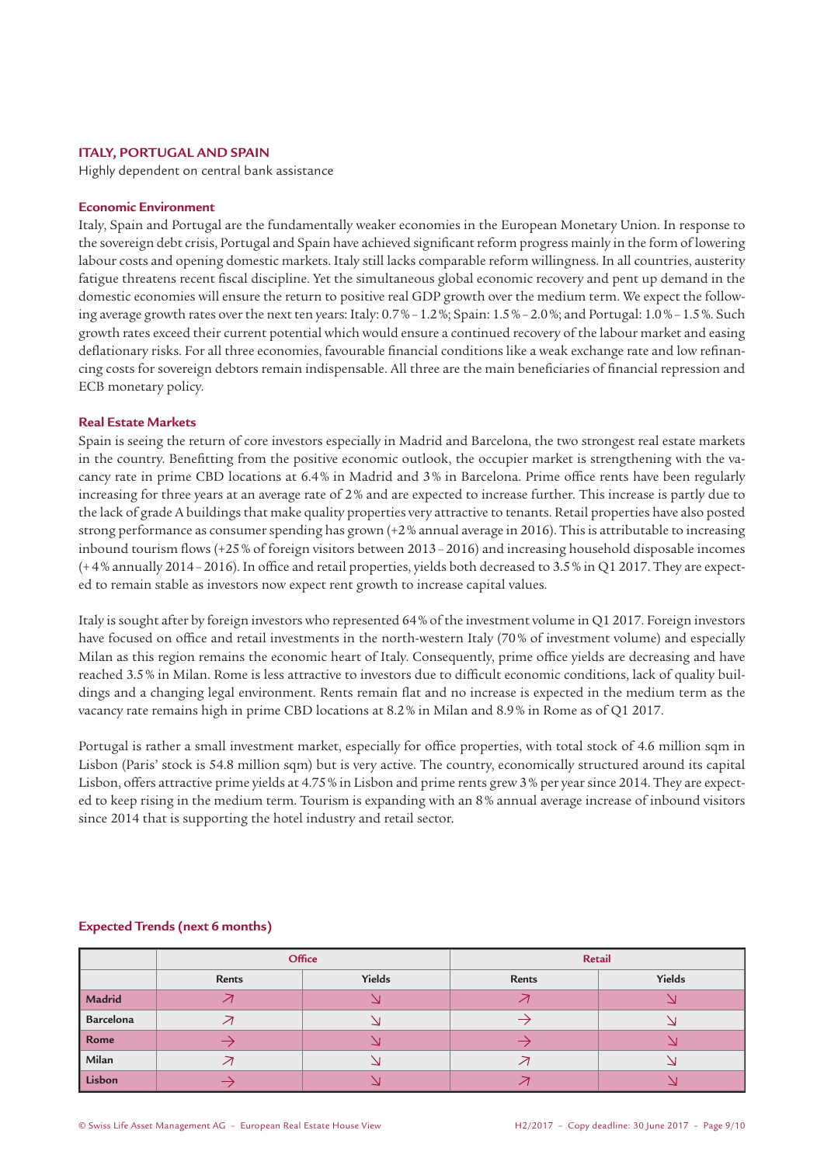# **ITALY, PORTUGAL AND SPAIN**

Highly dependent on central bank assistance

# **Economic Environment**

Italy, Spain and Portugal are the fundamentally weaker economies in the European Monetary Union. In response to the sovereign debt crisis, Portugal and Spain have achieved significant reform progress mainly in the form of lowering labour costs and opening domestic markets. Italy still lacks comparable reform willingness. In all countries, austerity fatigue threatens recent fiscal discipline. Yet the simultaneous global economic recovery and pent up demand in the domestic economies will ensure the return to positive real GDP growth over the medium term. We expect the following average growth rates over the next ten years: Italy: 0.7%–1.2%; Spain: 1.5%–2.0%; and Portugal: 1.0%–1.5%. Such growth rates exceed their current potential which would ensure a continued recovery of the labour market and easing deflationary risks. For all three economies, favourable financial conditions like a weak exchange rate and low refinancing costs for sovereign debtors remain indispensable. All three are the main beneficiaries of financial repression and ECB monetary policy.

#### **Real Estate Markets**

Spain is seeing the return of core investors especially in Madrid and Barcelona, the two strongest real estate markets in the country. Benefitting from the positive economic outlook, the occupier market is strengthening with the vacancy rate in prime CBD locations at 6.4% in Madrid and 3% in Barcelona. Prime office rents have been regularly increasing for three years at an average rate of 2% and are expected to increase further. This increase is partly due to the lack of grade A buildings that make quality properties very attractive to tenants. Retail properties have also posted strong performance as consumer spending has grown (+2% annual average in 2016). This is attributable to increasing inbound tourism flows (+25% of foreign visitors between 2013–2016) and increasing household disposable incomes (+4% annually 2014–2016). In office and retail properties, yields both decreased to 3.5% in Q1 2017. They are expected to remain stable as investors now expect rent growth to increase capital values.

Italy is sought after by foreign investors who represented 64% of the investment volume in Q1 2017. Foreign investors have focused on office and retail investments in the north-western Italy (70% of investment volume) and especially Milan as this region remains the economic heart of Italy. Consequently, prime office yields are decreasing and have reached 3.5% in Milan. Rome is less attractive to investors due to difficult economic conditions, lack of quality buildings and a changing legal environment. Rents remain flat and no increase is expected in the medium term as the vacancy rate remains high in prime CBD locations at 8.2% in Milan and 8.9% in Rome as of Q1 2017.

Portugal is rather a small investment market, especially for office properties, with total stock of 4.6 million sqm in Lisbon (Paris' stock is 54.8 million sqm) but is very active. The country, economically structured around its capital Lisbon, offers attractive prime yields at 4.75% in Lisbon and prime rents grew 3% per year since 2014. They are expected to keep rising in the medium term. Tourism is expanding with an 8% annual average increase of inbound visitors since 2014 that is supporting the hotel industry and retail sector.

|           | Office       |        | Retail |        |  |
|-----------|--------------|--------|--------|--------|--|
|           | <b>Rents</b> | Yields | Rents  | Yields |  |
| Madrid    |              |        |        | د      |  |
| Barcelona |              |        |        |        |  |
| Rome      |              |        |        |        |  |
| Milan     |              |        |        |        |  |
| Lisbon    |              |        |        |        |  |